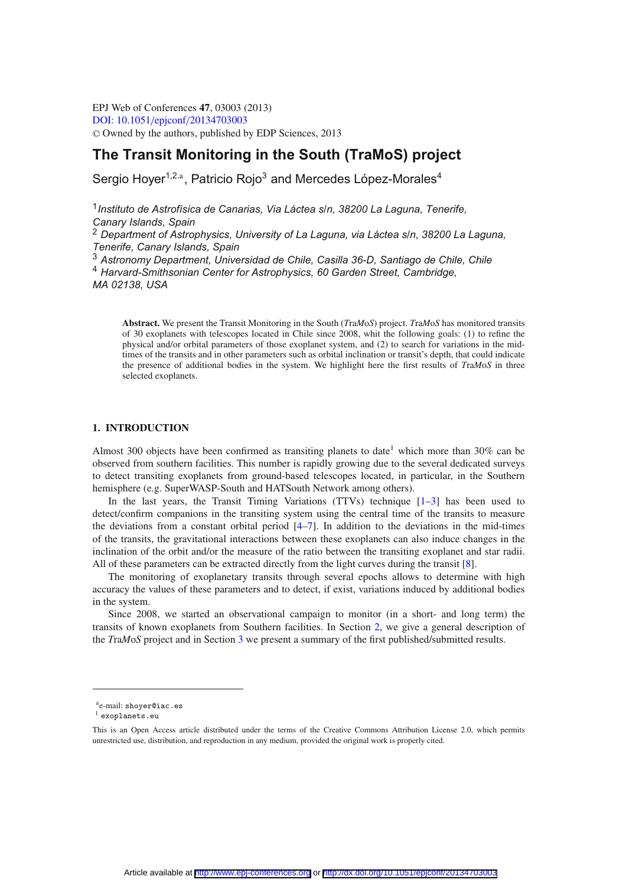EPJ Web of Conferences **47**, 03003 (2013) [DOI: 10.1051](http://dx.doi.org/10.1051/epjconf/20134703003)/epjconf/20134703003 -<sup>C</sup> Owned by the authors, published by EDP Sciences, 2013

# **The Transit Monitoring in the South (TraMoS) project**

Sergio Hoyer<sup>1,2.a</sup>, Patricio Rojo<sup>3</sup> and Mercedes López-Morales<sup>4</sup>

<sup>1</sup>*Instituto de Astrofísica de Canarias, Via Láctea s/n, 38200 La Laguna, Tenerife, Canary Islands, Spain*

<sup>2</sup> *Department of Astrophysics, University of La Laguna, via Láctea s/n, 38200 La Laguna, Tenerife, Canary Islands, Spain*

<sup>3</sup> *Astronomy Department, Universidad de Chile, Casilla 36-D, Santiago de Chile, Chile*

<sup>4</sup> *Harvard-Smithsonian Center for Astrophysics, 60 Garden Street, Cambridge, MA 02138, USA*

**Abstract.** We present the Transit Monitoring in the South (*T*ra*M*o*S*) project. *T*ra*M*o*S* has monitored transits of 30 exoplanets with telescopes located in Chile since 2008, whit the following goals: (1) to refine the physical and/or orbital parameters of those exoplanet system, and (2) to search for variations in the midtimes of the transits and in other parameters such as orbital inclination or transit's depth, that could indicate the presence of additional bodies in the system. We highlight here the first results of *T*ra*M*o*S* in three selected exoplanets.

#### **1. INTRODUCTION**

Almost 300 objects have been confirmed as transiting planets to date<sup>1</sup> which more than 30% can be observed from southern facilities. This number is rapidly growing due to the several dedicated surveys to detect transiting exoplanets from ground-based telescopes located, in particular, in the Southern hemisphere (e.g. SuperWASP-South and HATSouth Network among others).

In the last years, the Transit Timing Variations (TTVs) technique  $[1-3]$  $[1-3]$  has been used to detect/confirm companions in the transiting system using the central time of the transits to measure the deviations from a constant orbital period  $[4–7]$  $[4–7]$  $[4–7]$ . In addition to the deviations in the mid-times of the transits, the gravitational interactions between these exoplanets can also induce changes in the inclination of the orbit and/or the measure of the ratio between the transiting exoplanet and star radii. All of these parameters can be extracted directly from the light curves during the transit [\[8\]](#page-4-4).

The monitoring of exoplanetary transits through several epochs allows to determine with high accuracy the values of these parameters and to detect, if exist, variations induced by additional bodies in the system.

Since 2008, we started an observational campaign to monitor (in a short- and long term) the transits of known exoplanets from Southern facilities. In Section [2,](#page-1-0) we give a general description of the *T*ra*M*o*S* project and in Section [3](#page-2-0) we present a summary of the first published/submitted results.

ae-mail: shoyer@iac.es

 $<sup>1</sup>$  exoplanets.eu</sup>

This is an Open Access article distributed under the terms of the Creative Commons Attribution License 2.0, which permits unrestricted use, distribution, and reproduction in any medium, provided the original work is properly cited.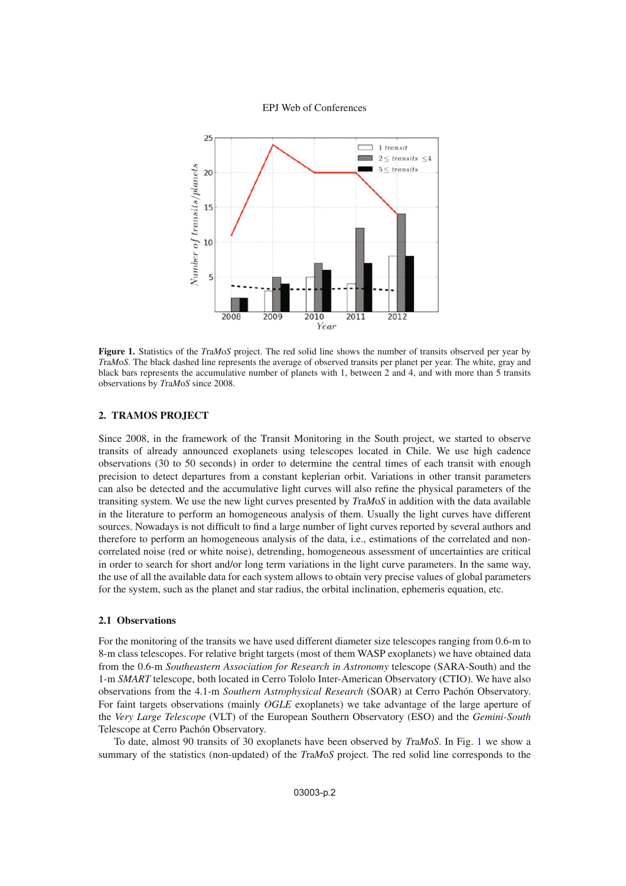EPJ Web of Conferences

<span id="page-1-1"></span>

**Figure 1.** Statistics of the *T*ra*M*o*S* project. The red solid line shows the number of transits observed per year by *T*ra*M*o*S*. The black dashed line represents the average of observed transits per planet per year. The white, gray and black bars represents the accumulative number of planets with 1, between 2 and 4, and with more than 5 transits observations by *T*ra*M*o*S* since 2008.

#### <span id="page-1-0"></span>**2. TRAMOS PROJECT**

Since 2008, in the framework of the Transit Monitoring in the South project, we started to observe transits of already announced exoplanets using telescopes located in Chile. We use high cadence observations (30 to 50 seconds) in order to determine the central times of each transit with enough precision to detect departures from a constant keplerian orbit. Variations in other transit parameters can also be detected and the accumulative light curves will also refine the physical parameters of the transiting system. We use the new light curves presented by *T*ra*M*o*S* in addition with the data available in the literature to perform an homogeneous analysis of them. Usually the light curves have different sources. Nowadays is not difficult to find a large number of light curves reported by several authors and therefore to perform an homogeneous analysis of the data, i.e., estimations of the correlated and noncorrelated noise (red or white noise), detrending, homogeneous assessment of uncertainties are critical in order to search for short and/or long term variations in the light curve parameters. In the same way, the use of all the available data for each system allows to obtain very precise values of global parameters for the system, such as the planet and star radius, the orbital inclination, ephemeris equation, etc.

#### **2.1 Observations**

For the monitoring of the transits we have used different diameter size telescopes ranging from 0.6-m to 8-m class telescopes. For relative bright targets (most of them WASP exoplanets) we have obtained data from the 0.6-m *Southeastern Association for Research in Astronomy* telescope (SARA-South) and the 1-m *SMART* telescope, both located in Cerro Tololo Inter-American Observatory (CTIO). We have also observations from the 4.1-m *Southern Astrophysical Research* (SOAR) at Cerro Pachón Observatory. For faint targets observations (mainly *OGLE* exoplanets) we take advantage of the large aperture of the *Very Large Telescope* (VLT) of the European Southern Observatory (ESO) and the *Gemini-South* Telescope at Cerro Pachón Observatory.

To date, almost 90 transits of 30 exoplanets have been observed by *T*ra*M*o*S*. In Fig. [1](#page-1-1) we show a summary of the statistics (non-updated) of the *T*ra*M*o*S* project. The red solid line corresponds to the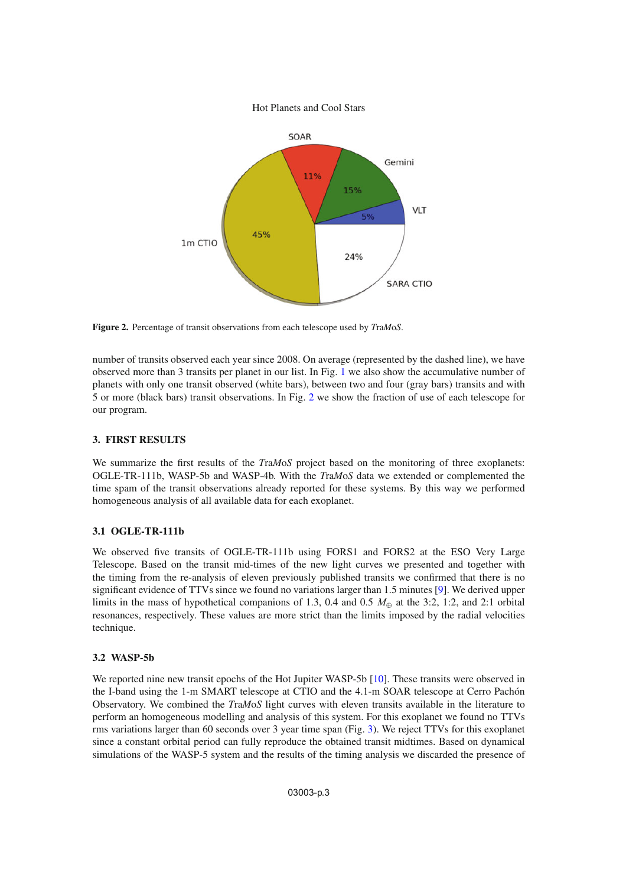Hot Planets and Cool Stars

<span id="page-2-1"></span>

**Figure 2.** Percentage of transit observations from each telescope used by *T*ra*M*o*S*.

number of transits observed each year since 2008. On average (represented by the dashed line), we have observed more than 3 transits per planet in our list. In Fig. [1](#page-1-1) we also show the accumulative number of planets with only one transit observed (white bars), between two and four (gray bars) transits and with 5 or more (black bars) transit observations. In Fig. [2](#page-2-1) we show the fraction of use of each telescope for our program.

## <span id="page-2-0"></span>**3. FIRST RESULTS**

We summarize the first results of the *T*ra*M*o*S* project based on the monitoring of three exoplanets: OGLE-TR-111b, WASP-5b and WASP-4b. With the *T*ra*M*o*S* data we extended or complemented the time spam of the transit observations already reported for these systems. By this way we performed homogeneous analysis of all available data for each exoplanet.

## **3.1 OGLE-TR-111b**

We observed five transits of OGLE-TR-111b using FORS1 and FORS2 at the ESO Very Large Telescope. Based on the transit mid-times of the new light curves we presented and together with the timing from the re-analysis of eleven previously published transits we confirmed that there is no significant evidence of TTVs since we found no variations larger than 1.5 minutes [\[9](#page-4-5)]. We derived upper limits in the mass of hypothetical companions of 1.3, 0.4 and 0.5  $M_{\oplus}$  at the 3:2, 1:2, and 2:1 orbital resonances, respectively. These values are more strict than the limits imposed by the radial velocities technique.

#### **3.2 WASP-5b**

We reported nine new transit epochs of the Hot Jupiter WASP-5b [\[10\]](#page-4-6). These transits were observed in the I-band using the 1-m SMART telescope at CTIO and the 4.1-m SOAR telescope at Cerro Pachón Observatory. We combined the *T*ra*M*o*S* light curves with eleven transits available in the literature to perform an homogeneous modelling and analysis of this system. For this exoplanet we found no TTVs rms variations larger than 60 seconds over 3 year time span (Fig. [3\)](#page-3-0). We reject TTVs for this exoplanet since a constant orbital period can fully reproduce the obtained transit midtimes. Based on dynamical simulations of the WASP-5 system and the results of the timing analysis we discarded the presence of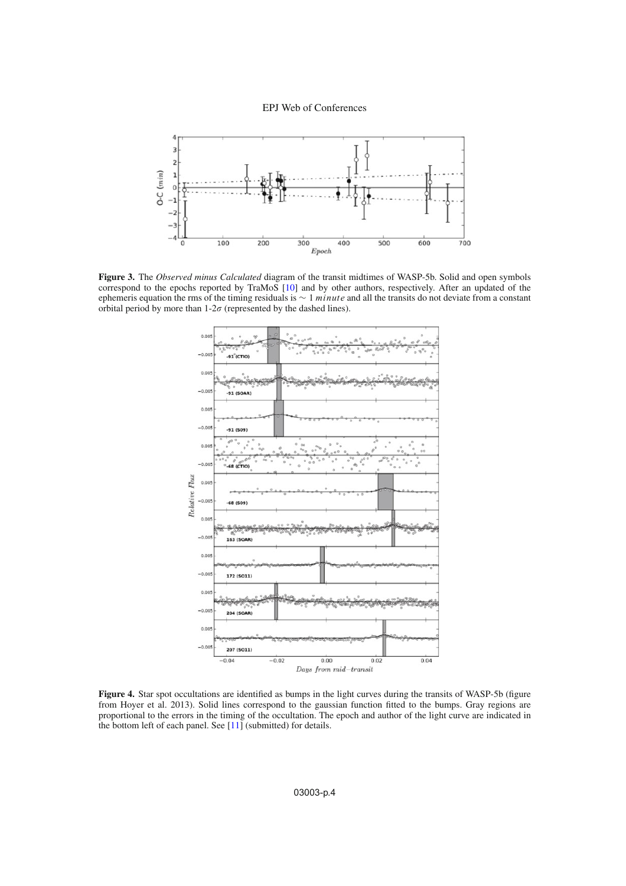EPJ Web of Conferences

<span id="page-3-0"></span>

<span id="page-3-1"></span>**Figure 3.** The *Observed minus Calculated* diagram of the transit midtimes of WASP-5b. Solid and open symbols correspond to the epochs reported by TraMoS [\[10](#page-4-6)] and by other authors, respectively. After an updated of the ephemeris equation the rms of the timing residuals is  $\sim 1$  minute and all the transits do not deviate from a constant orbital period by more than  $1-2\sigma$  (represented by the dashed lines).



**Figure 4.** Star spot occultations are identified as bumps in the light curves during the transits of WASP-5b (figure from Hoyer et al. 2013). Solid lines correspond to the gaussian function fitted to the bumps. Gray regions are proportional to the errors in the timing of the occultation. The epoch and author of the light curve are indicated in the bottom left of each panel. See [\[11](#page-4-7)] (submitted) for details.